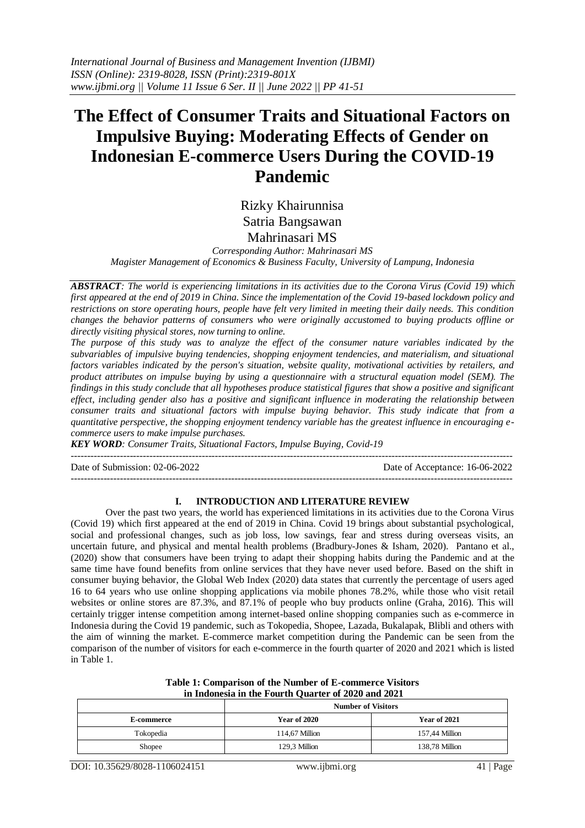# **The Effect of Consumer Traits and Situational Factors on Impulsive Buying: Moderating Effects of Gender on Indonesian E-commerce Users During the COVID-19 Pandemic**

Rizky Khairunnisa Satria Bangsawan Mahrinasari MS

*Corresponding Author: Mahrinasari MS Magister Management of Economics & Business Faculty, University of Lampung, Indonesia*

*ABSTRACT: The world is experiencing limitations in its activities due to the Corona Virus (Covid 19) which first appeared at the end of 2019 in China. Since the implementation of the Covid 19-based lockdown policy and restrictions on store operating hours, people have felt very limited in meeting their daily needs. This condition changes the behavior patterns of consumers who were originally accustomed to buying products offline or directly visiting physical stores, now turning to online.*

*The purpose of this study was to analyze the effect of the consumer nature variables indicated by the subvariables of impulsive buying tendencies, shopping enjoyment tendencies, and materialism, and situational factors variables indicated by the person's situation, website quality, motivational activities by retailers, and product attributes on impulse buying by using a questionnaire with a structural equation model (SEM). The findings in this study conclude that all hypotheses produce statistical figures that show a positive and significant effect*, *including gender also has a positive and significant influence in moderating the relationship between consumer traits and situational factors with impulse buying behavior. This study indicate that from a quantitative perspective, the shopping enjoyment tendency variable has the greatest influence in encouraging ecommerce users to make impulse purchases.*

*KEY WORD: Consumer Traits, Situational Factors, Impulse Buying, Covid-19*

---------------------------------------------------------------------------------------------------------------------------------------

Date of Submission: 02-06-2022 Date of Acceptance: 16-06-2022

# **I. INTRODUCTION AND LITERATURE REVIEW**

---------------------------------------------------------------------------------------------------------------------------------------

Over the past two years, the world has experienced limitations in its activities due to the Corona Virus (Covid 19) which first appeared at the end of 2019 in China. Covid 19 brings about substantial psychological, social and professional changes, such as job loss, low savings, fear and stress during overseas visits, an uncertain future, and physical and mental health problems (Bradbury-Jones & Isham, 2020). Pantano et al., (2020) show that consumers have been trying to adapt their shopping habits during the Pandemic and at the same time have found benefits from online services that they have never used before. Based on the shift in consumer buying behavior, the Global Web Index (2020) data states that currently the percentage of users aged 16 to 64 years who use online shopping applications via mobile phones 78.2%, while those who visit retail websites or online stores are 87.3%, and 87.1% of people who buy products online (Graha, 2016). This will certainly trigger intense competition among internet-based online shopping companies such as e-commerce in Indonesia during the Covid 19 pandemic, such as Tokopedia, Shopee, Lazada, Bukalapak, Blibli and others with the aim of winning the market. E-commerce market competition during the Pandemic can be seen from the comparison of the number of visitors for each e-commerce in the fourth quarter of 2020 and 2021 which is listed in Table 1.

#### **Table 1: Comparison of the Number of E-commerce Visitors in Indonesia in the Fourth Quarter of 2020 and 2021**

|                   | <b>Number of Visitors</b> |                     |  |  |
|-------------------|---------------------------|---------------------|--|--|
| <b>E-commerce</b> | <b>Year of 2020</b>       | <b>Year of 2021</b> |  |  |
| Tokopedia         | 114.67 Million            | 157.44 Million      |  |  |
| Shopee            | 129.3 Million             | 138.78 Million      |  |  |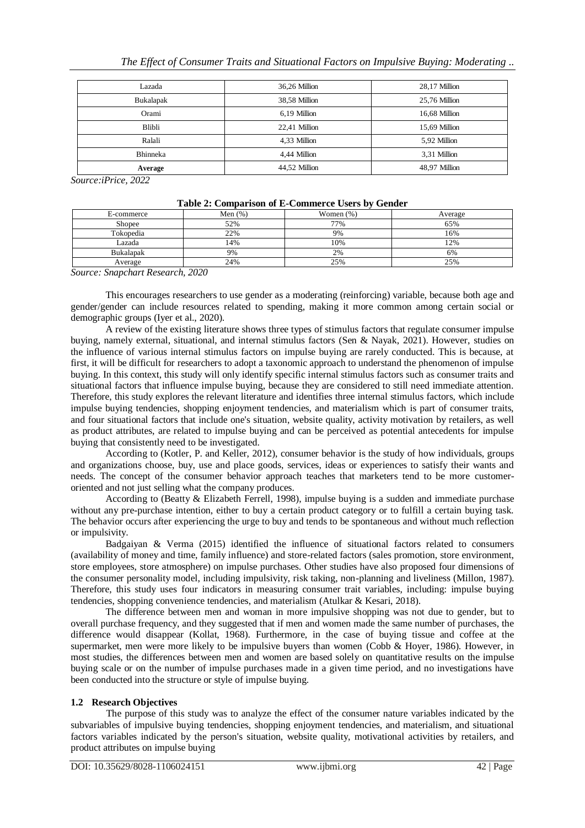| Lazada          | 36,26 Million | 28,17 Million |
|-----------------|---------------|---------------|
| Bukalapak       | 38,58 Million | 25,76 Million |
| Orami           | 6,19 Million  | 16,68 Million |
| Blibli          | 22,41 Million | 15,69 Million |
| Ralali          | 4,33 Million  | 5,92 Million  |
| <b>Bhinneka</b> | 4,44 Million  | 3.31 Million  |
| Average         | 44.52 Million | 48.97 Million |

*Source:iPrice, 2022*

| Tuble 2. Comparison of D Commerce Cocro by Genuer |            |              |         |  |  |  |  |
|---------------------------------------------------|------------|--------------|---------|--|--|--|--|
| E-commerce                                        | Men $(\%)$ | Women $(\%)$ | Average |  |  |  |  |
| Shopee                                            | 52%        | 77%          | 65%     |  |  |  |  |
| Tokopedia                                         | 22%        | 9%           | 16%     |  |  |  |  |
| Lazada                                            | 14%        | 10%          | 12%     |  |  |  |  |
| Bukalapak                                         | 9%         | 2%           | 6%      |  |  |  |  |
| Average                                           | 24%        | 25%          | 25%     |  |  |  |  |

#### **Table 2: Comparison of E-Commerce Users by Gender**

*Source: Snapchart Research, 2020*

This encourages researchers to use gender as a moderating (reinforcing) variable, because both age and gender/gender can include resources related to spending, making it more common among certain social or demographic groups (Iyer et al., 2020).

A review of the existing literature shows three types of stimulus factors that regulate consumer impulse buying, namely external, situational, and internal stimulus factors (Sen & Nayak, 2021). However, studies on the influence of various internal stimulus factors on impulse buying are rarely conducted. This is because, at first, it will be difficult for researchers to adopt a taxonomic approach to understand the phenomenon of impulse buying. In this context, this study will only identify specific internal stimulus factors such as consumer traits and situational factors that influence impulse buying, because they are considered to still need immediate attention. Therefore, this study explores the relevant literature and identifies three internal stimulus factors, which include impulse buying tendencies, shopping enjoyment tendencies, and materialism which is part of consumer traits, and four situational factors that include one's situation, website quality, activity motivation by retailers, as well as product attributes, are related to impulse buying and can be perceived as potential antecedents for impulse buying that consistently need to be investigated.

According to (Kotler, P. and Keller, 2012), consumer behavior is the study of how individuals, groups and organizations choose, buy, use and place goods, services, ideas or experiences to satisfy their wants and needs. The concept of the consumer behavior approach teaches that marketers tend to be more customeroriented and not just selling what the company produces.

According to (Beatty & Elizabeth Ferrell, 1998), impulse buying is a sudden and immediate purchase without any pre-purchase intention, either to buy a certain product category or to fulfill a certain buying task. The behavior occurs after experiencing the urge to buy and tends to be spontaneous and without much reflection or impulsivity.

Badgaiyan & Verma (2015) identified the influence of situational factors related to consumers (availability of money and time, family influence) and store-related factors (sales promotion, store environment, store employees, store atmosphere) on impulse purchases. Other studies have also proposed four dimensions of the consumer personality model, including impulsivity, risk taking, non-planning and liveliness (Millon, 1987). Therefore, this study uses four indicators in measuring consumer trait variables, including: impulse buying tendencies, shopping convenience tendencies, and materialism (Atulkar & Kesari, 2018).

The difference between men and woman in more impulsive shopping was not due to gender, but to overall purchase frequency, and they suggested that if men and women made the same number of purchases, the difference would disappear (Kollat, 1968). Furthermore, in the case of buying tissue and coffee at the supermarket, men were more likely to be impulsive buyers than women (Cobb & Hoyer, 1986). However, in most studies, the differences between men and women are based solely on quantitative results on the impulse buying scale or on the number of impulse purchases made in a given time period, and no investigations have been conducted into the structure or style of impulse buying.

# **1.2 Research Objectives**

The purpose of this study was to analyze the effect of the consumer nature variables indicated by the subvariables of impulsive buying tendencies, shopping enjoyment tendencies, and materialism, and situational factors variables indicated by the person's situation, website quality, motivational activities by retailers, and product attributes on impulse buying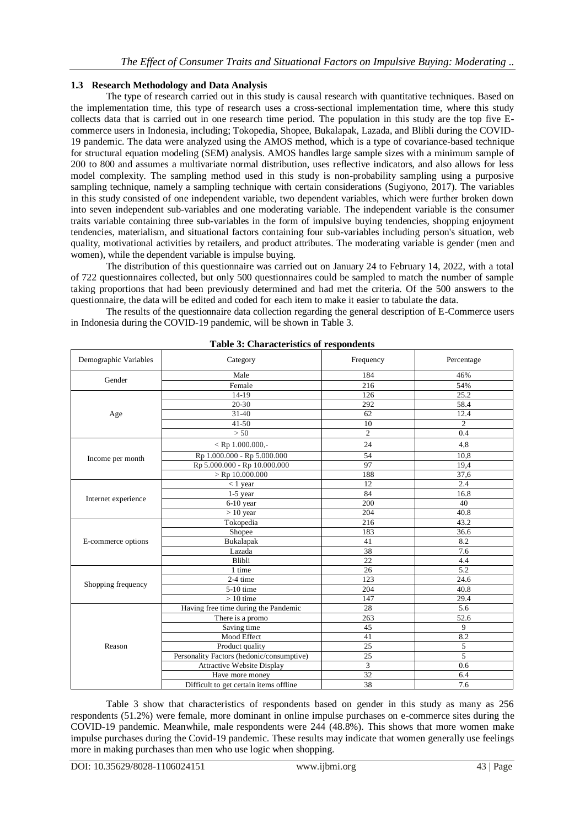## **1.3 Research Methodology and Data Analysis**

The type of research carried out in this study is causal research with quantitative techniques. Based on the implementation time, this type of research uses a cross-sectional implementation time, where this study collects data that is carried out in one research time period. The population in this study are the top five Ecommerce users in Indonesia, including; Tokopedia, Shopee, Bukalapak, Lazada, and Blibli during the COVID-19 pandemic. The data were analyzed using the AMOS method, which is a type of covariance-based technique for structural equation modeling (SEM) analysis. AMOS handles large sample sizes with a minimum sample of 200 to 800 and assumes a multivariate normal distribution, uses reflective indicators, and also allows for less model complexity. The sampling method used in this study is non-probability sampling using a purposive sampling technique, namely a sampling technique with certain considerations (Sugiyono, 2017). The variables in this study consisted of one independent variable, two dependent variables, which were further broken down into seven independent sub-variables and one moderating variable. The independent variable is the consumer traits variable containing three sub-variables in the form of impulsive buying tendencies, shopping enjoyment tendencies, materialism, and situational factors containing four sub-variables including person's situation, web quality, motivational activities by retailers, and product attributes. The moderating variable is gender (men and women), while the dependent variable is impulse buying.

The distribution of this questionnaire was carried out on January 24 to February 14, 2022, with a total of 722 questionnaires collected, but only 500 questionnaires could be sampled to match the number of sample taking proportions that had been previously determined and had met the criteria. Of the 500 answers to the questionnaire, the data will be edited and coded for each item to make it easier to tabulate the data.

The results of the questionnaire data collection regarding the general description of E-Commerce users in Indonesia during the COVID-19 pandemic, will be shown in Table 3.

| Demographic Variables | Category                                  | Frequency      | Percentage     |
|-----------------------|-------------------------------------------|----------------|----------------|
| Gender                | Male                                      | 184            | 46%            |
|                       | Female                                    | 216            | 54%            |
|                       | $14-19$                                   | 126            | 25.2           |
|                       | $20 - 30$                                 | 292            | 58.4           |
| Age                   | $31-40$                                   | 62             | 12.4           |
|                       | $41 - 50$                                 | 10             | $\overline{c}$ |
|                       | > 50                                      | $\overline{c}$ | 0.4            |
|                       | $<$ Rp 1.000.000,-                        | 24             | 4,8            |
| Income per month      | Rp 1.000.000 - Rp 5.000.000               | 54             | 10,8           |
|                       | Rp 5.000.000 - Rp 10.000.000              | 97             | 19,4           |
|                       | $>$ Rp 10.000.000                         | 188            | 37,6           |
|                       | $< 1$ year                                | 12             | 2.4            |
|                       | $1-5$ year                                | 84             | 16.8           |
| Internet experience   | $6-10$ year                               | 200            | 40             |
|                       | $> 10$ year                               | 204            | 40.8           |
|                       | Tokopedia                                 | 216            | 43.2           |
|                       | Shopee                                    | 183            | 36.6           |
| E-commerce options    | Bukalapak                                 | 41             | 8.2            |
|                       | Lazada                                    | 38             | 7.6            |
|                       | Blibli                                    | 22             | 4.4            |
|                       | 1 time                                    | 26             | 5.2            |
| Shopping frequency    | 2-4 time                                  | 123            | 24.6           |
|                       | 5-10 time                                 | 204            | 40.8           |
|                       | $>10$ time                                | 147            | 29.4           |
|                       | Having free time during the Pandemic      | 28             | 5.6            |
|                       | There is a promo                          | 263            | 52.6           |
|                       | Saving time                               | 45             | 9              |
|                       | Mood Effect                               | 41             | 8.2            |
| Reason                | Product quality                           | 25             | 5              |
|                       | Personality Factors (hedonic/consumptive) | 25             | $\overline{5}$ |
|                       | Attractive Website Display                | 3              | 0.6            |
|                       | Have more money                           | 32             | 6.4            |
|                       | Difficult to get certain items offline    | 38             | 7.6            |

**Table 3: Characteristics of respondents**

Table 3 show that characteristics of respondents based on gender in this study as many as 256 respondents (51.2%) were female, more dominant in online impulse purchases on e-commerce sites during the COVID-19 pandemic. Meanwhile, male respondents were 244 (48.8%). This shows that more women make impulse purchases during the Covid-19 pandemic. These results may indicate that women generally use feelings more in making purchases than men who use logic when shopping.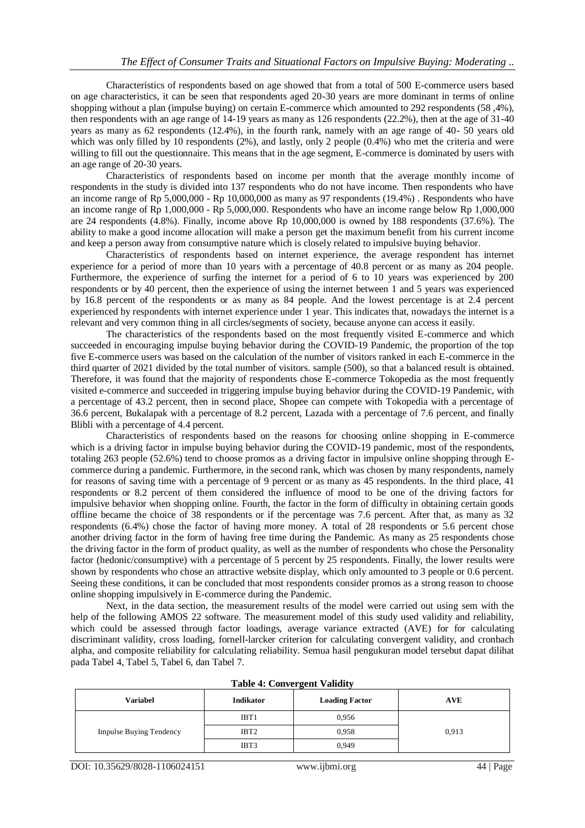Characteristics of respondents based on age showed that from a total of 500 E-commerce users based on age characteristics, it can be seen that respondents aged 20-30 years are more dominant in terms of online shopping without a plan (impulse buying) on certain E-commerce which amounted to 292 respondents (58 ,4%), then respondents with an age range of 14-19 years as many as 126 respondents (22.2%), then at the age of 31-40 years as many as 62 respondents (12.4%), in the fourth rank, namely with an age range of 40- 50 years old which was only filled by 10 respondents (2%), and lastly, only 2 people (0.4%) who met the criteria and were willing to fill out the questionnaire. This means that in the age segment, E-commerce is dominated by users with an age range of 20-30 years.

Characteristics of respondents based on income per month that the average monthly income of respondents in the study is divided into 137 respondents who do not have income. Then respondents who have an income range of Rp 5,000,000 - Rp 10,000,000 as many as 97 respondents (19.4%) . Respondents who have an income range of Rp 1,000,000 - Rp 5,000,000. Respondents who have an income range below Rp 1,000,000 are 24 respondents (4.8%). Finally, income above Rp 10,000,000 is owned by 188 respondents (37.6%). The ability to make a good income allocation will make a person get the maximum benefit from his current income and keep a person away from consumptive nature which is closely related to impulsive buying behavior.

Characteristics of respondents based on internet experience, the average respondent has internet experience for a period of more than 10 years with a percentage of 40.8 percent or as many as 204 people. Furthermore, the experience of surfing the internet for a period of 6 to 10 years was experienced by 200 respondents or by 40 percent, then the experience of using the internet between 1 and 5 years was experienced by 16.8 percent of the respondents or as many as 84 people. And the lowest percentage is at 2.4 percent experienced by respondents with internet experience under 1 year. This indicates that, nowadays the internet is a relevant and very common thing in all circles/segments of society, because anyone can access it easily.

The characteristics of the respondents based on the most frequently visited E-commerce and which succeeded in encouraging impulse buying behavior during the COVID-19 Pandemic, the proportion of the top five E-commerce users was based on the calculation of the number of visitors ranked in each E-commerce in the third quarter of 2021 divided by the total number of visitors. sample (500), so that a balanced result is obtained. Therefore, it was found that the majority of respondents chose E-commerce Tokopedia as the most frequently visited e-commerce and succeeded in triggering impulse buying behavior during the COVID-19 Pandemic, with a percentage of 43.2 percent, then in second place, Shopee can compete with Tokopedia with a percentage of 36.6 percent, Bukalapak with a percentage of 8.2 percent, Lazada with a percentage of 7.6 percent, and finally Blibli with a percentage of 4.4 percent.

Characteristics of respondents based on the reasons for choosing online shopping in E-commerce which is a driving factor in impulse buying behavior during the COVID-19 pandemic, most of the respondents, totaling 263 people (52.6%) tend to choose promos as a driving factor in impulsive online shopping through Ecommerce during a pandemic. Furthermore, in the second rank, which was chosen by many respondents, namely for reasons of saving time with a percentage of 9 percent or as many as 45 respondents. In the third place, 41 respondents or 8.2 percent of them considered the influence of mood to be one of the driving factors for impulsive behavior when shopping online. Fourth, the factor in the form of difficulty in obtaining certain goods offline became the choice of 38 respondents or if the percentage was 7.6 percent. After that, as many as 32 respondents (6.4%) chose the factor of having more money. A total of 28 respondents or 5.6 percent chose another driving factor in the form of having free time during the Pandemic. As many as 25 respondents chose the driving factor in the form of product quality, as well as the number of respondents who chose the Personality factor (hedonic/consumptive) with a percentage of 5 percent by 25 respondents. Finally, the lower results were shown by respondents who chose an attractive website display, which only amounted to 3 people or 0.6 percent. Seeing these conditions, it can be concluded that most respondents consider promos as a strong reason to choose online shopping impulsively in E-commerce during the Pandemic.

Next, in the data section, the measurement results of the model were carried out using sem with the help of the following AMOS 22 software. The measurement model of this study used validity and reliability, which could be assessed through factor loadings, average variance extracted (AVE) for for calculating discriminant validity, cross loading, fornell-larcker criterion for calculating convergent validity, and cronbach alpha, and composite reliability for calculating reliability. Semua hasil pengukuran model tersebut dapat dilihat pada Tabel 4, Tabel 5, Tabel 6, dan Tabel 7.

| Variabel                       | <b>Indikator</b> | <b>Loading Factor</b> | <b>AVE</b> |
|--------------------------------|------------------|-----------------------|------------|
|                                | IBT <sub>1</sub> | 0,956                 |            |
| <b>Impulse Buying Tendency</b> | IBT <sub>2</sub> | 0.958                 | 0,913      |
|                                | IBT3             | 0,949                 |            |

|  | <b>Table 4: Convergent Validity</b> |  |
|--|-------------------------------------|--|
|--|-------------------------------------|--|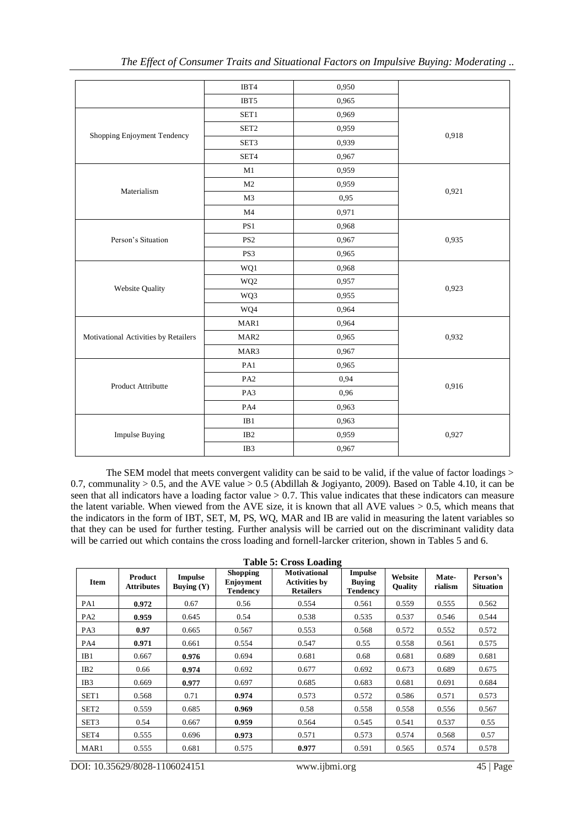|                                      | IBT4             | 0,950 |       |
|--------------------------------------|------------------|-------|-------|
|                                      | IBT5             | 0,965 |       |
|                                      | SET1             | 0,969 |       |
|                                      | SET <sub>2</sub> | 0,959 |       |
| Shopping Enjoyment Tendency          | SET3             | 0,939 | 0,918 |
|                                      | SET4             | 0,967 |       |
|                                      | M1               | 0,959 |       |
| Materialism                          | M2               | 0,959 |       |
|                                      | M3               | 0,95  | 0,921 |
|                                      | M <sub>4</sub>   | 0,971 |       |
|                                      | PS1              | 0,968 |       |
| Person's Situation                   | PS <sub>2</sub>  | 0,967 | 0,935 |
|                                      | PS3              | 0,965 |       |
|                                      | WQ1              | 0,968 |       |
|                                      | WQ <sub>2</sub>  | 0,957 |       |
| Website Quality                      | WQ3              | 0,955 | 0,923 |
|                                      | WQ4              | 0,964 |       |
|                                      | MAR1             | 0,964 |       |
| Motivational Activities by Retailers | MAR <sub>2</sub> | 0,965 | 0,932 |
|                                      | MAR3             | 0,967 |       |
|                                      | PA1              | 0,965 |       |
|                                      | PA <sub>2</sub>  | 0,94  |       |
| Product Attributte                   | PA3              | 0,96  | 0,916 |
|                                      | PA4              | 0,963 |       |
|                                      | IB1              | 0,963 |       |
| <b>Impulse Buying</b>                | IB <sub>2</sub>  | 0,959 | 0,927 |
|                                      | IB3              | 0,967 |       |
|                                      |                  |       |       |

The SEM model that meets convergent validity can be said to be valid, if the value of factor loadings > 0.7, communality > 0.5, and the AVE value > 0.5 (Abdillah & Jogiyanto, 2009). Based on Table 4.10, it can be seen that all indicators have a loading factor value  $> 0.7$ . This value indicates that these indicators can measure the latent variable. When viewed from the AVE size, it is known that all AVE values > 0.5, which means that the indicators in the form of IBT, SET, M, PS, WQ, MAR and IB are valid in measuring the latent variables so that they can be used for further testing. Further analysis will be carried out on the discriminant validity data will be carried out which contains the cross loading and fornell-larcker criterion, shown in Tables 5 and 6.

| <b>Table 5: Cross Loading</b> |                              |                                |                                                 |                                                                 |                                                    |                           |                  |                              |
|-------------------------------|------------------------------|--------------------------------|-------------------------------------------------|-----------------------------------------------------------------|----------------------------------------------------|---------------------------|------------------|------------------------------|
| <b>Item</b>                   | Product<br><b>Attributes</b> | <b>Impulse</b><br>Buying $(Y)$ | <b>Shopping</b><br>Enjoyment<br><b>Tendency</b> | <b>Motivational</b><br><b>Activities by</b><br><b>Retailers</b> | <b>Impulse</b><br><b>Buying</b><br><b>Tendency</b> | Website<br><b>Quality</b> | Mate-<br>rialism | Person's<br><b>Situation</b> |
| PA1                           | 0.972                        | 0.67                           | 0.56                                            | 0.554                                                           | 0.561                                              | 0.559                     | 0.555            | 0.562                        |
| PA <sub>2</sub>               | 0.959                        | 0.645                          | 0.54                                            | 0.538                                                           | 0.535                                              | 0.537                     | 0.546            | 0.544                        |
| PA3                           | 0.97                         | 0.665                          | 0.567                                           | 0.553                                                           | 0.568                                              | 0.572                     | 0.552            | 0.572                        |
| PA4                           | 0.971                        | 0.661                          | 0.554                                           | 0.547                                                           | 0.55                                               | 0.558                     | 0.561            | 0.575                        |
| IB1                           | 0.667                        | 0.976                          | 0.694                                           | 0.681                                                           | 0.68                                               | 0.681                     | 0.689            | 0.681                        |
| IB2                           | 0.66                         | 0.974                          | 0.692                                           | 0.677                                                           | 0.692                                              | 0.673                     | 0.689            | 0.675                        |
| IB <sub>3</sub>               | 0.669                        | 0.977                          | 0.697                                           | 0.685                                                           | 0.683                                              | 0.681                     | 0.691            | 0.684                        |
| SET1                          | 0.568                        | 0.71                           | 0.974                                           | 0.573                                                           | 0.572                                              | 0.586                     | 0.571            | 0.573                        |
| SET <sub>2</sub>              | 0.559                        | 0.685                          | 0.969                                           | 0.58                                                            | 0.558                                              | 0.558                     | 0.556            | 0.567                        |
| SET <sub>3</sub>              | 0.54                         | 0.667                          | 0.959                                           | 0.564                                                           | 0.545                                              | 0.541                     | 0.537            | 0.55                         |
| SET4                          | 0.555                        | 0.696                          | 0.973                                           | 0.571                                                           | 0.573                                              | 0.574                     | 0.568            | 0.57                         |
| MAR <sub>1</sub>              | 0.555                        | 0.681                          | 0.575                                           | 0.977                                                           | 0.591                                              | 0.565                     | 0.574            | 0.578                        |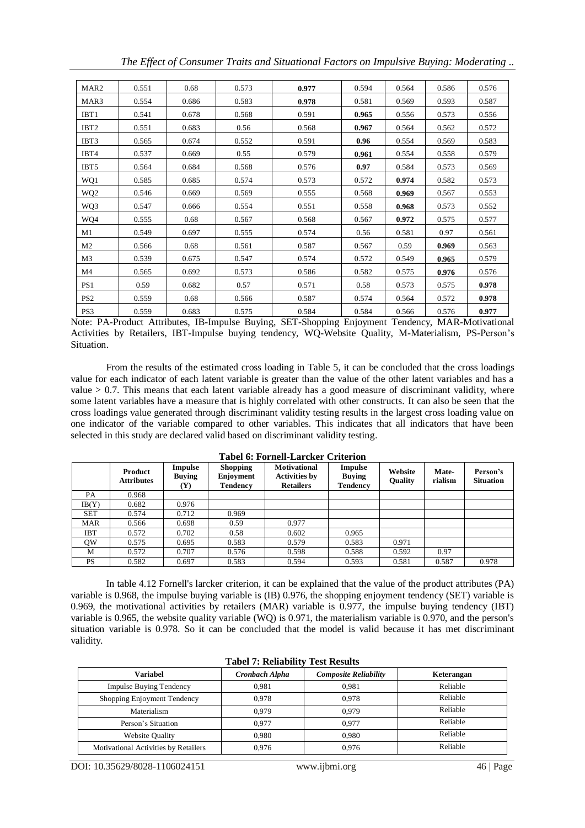| MAR <sub>2</sub> | 0.551 | 0.68  | 0.573 | 0.977 | 0.594 | 0.564 | 0.586 | 0.576 |
|------------------|-------|-------|-------|-------|-------|-------|-------|-------|
| MAR3             | 0.554 | 0.686 | 0.583 | 0.978 | 0.581 | 0.569 | 0.593 | 0.587 |
| IBT1             | 0.541 | 0.678 | 0.568 | 0.591 | 0.965 | 0.556 | 0.573 | 0.556 |
| IBT <sub>2</sub> | 0.551 | 0.683 | 0.56  | 0.568 | 0.967 | 0.564 | 0.562 | 0.572 |
| IBT3             | 0.565 | 0.674 | 0.552 | 0.591 | 0.96  | 0.554 | 0.569 | 0.583 |
| IBT4             | 0.537 | 0.669 | 0.55  | 0.579 | 0.961 | 0.554 | 0.558 | 0.579 |
| IBT <sub>5</sub> | 0.564 | 0.684 | 0.568 | 0.576 | 0.97  | 0.584 | 0.573 | 0.569 |
| WQ1              | 0.585 | 0.685 | 0.574 | 0.573 | 0.572 | 0.974 | 0.582 | 0.573 |
| WQ <sub>2</sub>  | 0.546 | 0.669 | 0.569 | 0.555 | 0.568 | 0.969 | 0.567 | 0.553 |
| WQ3              | 0.547 | 0.666 | 0.554 | 0.551 | 0.558 | 0.968 | 0.573 | 0.552 |
| WQ4              | 0.555 | 0.68  | 0.567 | 0.568 | 0.567 | 0.972 | 0.575 | 0.577 |
| M1               | 0.549 | 0.697 | 0.555 | 0.574 | 0.56  | 0.581 | 0.97  | 0.561 |
| M <sub>2</sub>   | 0.566 | 0.68  | 0.561 | 0.587 | 0.567 | 0.59  | 0.969 | 0.563 |
| M3               | 0.539 | 0.675 | 0.547 | 0.574 | 0.572 | 0.549 | 0.965 | 0.579 |
| M4               | 0.565 | 0.692 | 0.573 | 0.586 | 0.582 | 0.575 | 0.976 | 0.576 |
| PS <sub>1</sub>  | 0.59  | 0.682 | 0.57  | 0.571 | 0.58  | 0.573 | 0.575 | 0.978 |
| PS <sub>2</sub>  | 0.559 | 0.68  | 0.566 | 0.587 | 0.574 | 0.564 | 0.572 | 0.978 |
| PS <sub>3</sub>  | 0.559 | 0.683 | 0.575 | 0.584 | 0.584 | 0.566 | 0.576 | 0.977 |

*The Effect of Consumer Traits and Situational Factors on Impulsive Buying: Moderating ..*

Note: PA-Product Attributes, IB-Impulse Buying, SET-Shopping Enjoyment Tendency, MAR-Motivational Activities by Retailers, IBT-Impulse buying tendency, WQ-Website Quality, M-Materialism, PS-Person's Situation.

From the results of the estimated cross loading in Table 5, it can be concluded that the cross loadings value for each indicator of each latent variable is greater than the value of the other latent variables and has a value > 0.7. This means that each latent variable already has a good measure of discriminant validity, where some latent variables have a measure that is highly correlated with other constructs. It can also be seen that the cross loadings value generated through discriminant validity testing results in the largest cross loading value on one indicator of the variable compared to other variables. This indicates that all indicators that have been selected in this study are declared valid based on discriminant validity testing.

|            | Product<br><b>Attributes</b> | Impulse<br><b>Buying</b><br>Y) | <b>Shopping</b><br>Enjoyment<br><b>Tendency</b> | <b>Motivational</b><br><b>Activities by</b><br><b>Retailers</b> | <b>Impulse</b><br><b>Buying</b><br><b>Tendency</b> | Website<br><b>Quality</b> | Mate-<br>rialism | Person's<br><b>Situation</b> |
|------------|------------------------------|--------------------------------|-------------------------------------------------|-----------------------------------------------------------------|----------------------------------------------------|---------------------------|------------------|------------------------------|
| PA         | 0.968                        |                                |                                                 |                                                                 |                                                    |                           |                  |                              |
| IB(Y)      | 0.682                        | 0.976                          |                                                 |                                                                 |                                                    |                           |                  |                              |
| <b>SET</b> | 0.574                        | 0.712                          | 0.969                                           |                                                                 |                                                    |                           |                  |                              |
| <b>MAR</b> | 0.566                        | 0.698                          | 0.59                                            | 0.977                                                           |                                                    |                           |                  |                              |
| IBT        | 0.572                        | 0.702                          | 0.58                                            | 0.602                                                           | 0.965                                              |                           |                  |                              |
| QW         | 0.575                        | 0.695                          | 0.583                                           | 0.579                                                           | 0.583                                              | 0.971                     |                  |                              |
| М          | 0.572                        | 0.707                          | 0.576                                           | 0.598                                                           | 0.588                                              | 0.592                     | 0.97             |                              |
| PS         | 0.582                        | 0.697                          | 0.583                                           | 0.594                                                           | 0.593                                              | 0.581                     | 0.587            | 0.978                        |

**Tabel 6: Fornell-Larcker Criterion**

In table 4.12 Fornell's larcker criterion, it can be explained that the value of the product attributes (PA) variable is 0.968, the impulse buying variable is (IB) 0.976, the shopping enjoyment tendency (SET) variable is 0.969, the motivational activities by retailers (MAR) variable is 0.977, the impulse buying tendency (IBT) variable is 0.965, the website quality variable (WQ) is 0.971, the materialism variable is 0.970, and the person's situation variable is 0.978. So it can be concluded that the model is valid because it has met discriminant validity.

|  |  |  | <b>Tabel 7: Reliability Test Results</b> |
|--|--|--|------------------------------------------|
|--|--|--|------------------------------------------|

| <b>Variabel</b>                      | Cronbach Alpha | <b>Composite Reliability</b> | Keterangan |
|--------------------------------------|----------------|------------------------------|------------|
| <b>Impulse Buying Tendency</b>       | 0.981          | 0.981                        | Reliable   |
| Shopping Enjoyment Tendency          | 0.978          | 0.978                        | Reliable   |
| Materialism                          | 0.979          | 0.979                        | Reliable   |
| Person's Situation                   | 0.977          | 0.977                        | Reliable   |
| <b>Website Quality</b>               | 0.980          | 0,980                        | Reliable   |
| Motivational Activities by Retailers | 0.976          | 0.976                        | Reliable   |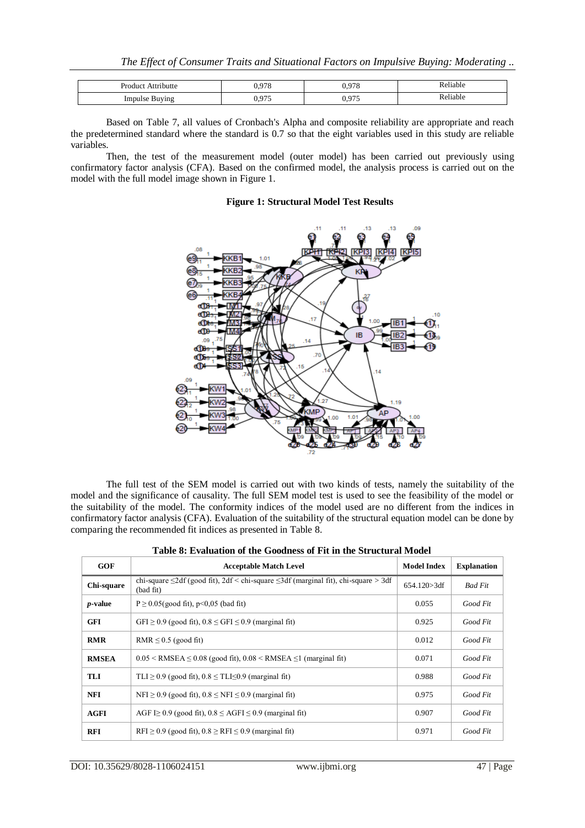| <b>Product Attributte</b> | 0.978 | 0.978                      | Reliable |
|---------------------------|-------|----------------------------|----------|
| <b>Impulse Buying</b>     | 0,975 | ሰ ሰማድ<br>u<br><u>v.zij</u> | Reliable |

Based on Table 7, all values of Cronbach's Alpha and composite reliability are appropriate and reach the predetermined standard where the standard is 0.7 so that the eight variables used in this study are reliable variables.

Then, the test of the measurement model (outer model) has been carried out previously using confirmatory factor analysis (CFA). Based on the confirmed model, the analysis process is carried out on the model with the full model image shown in Figure 1.

### **Figure 1: Structural Model Test Results**



The full test of the SEM model is carried out with two kinds of tests, namely the suitability of the model and the significance of causality. The full SEM model test is used to see the feasibility of the model or the suitability of the model. The conformity indices of the model used are no different from the indices in confirmatory factor analysis (CFA). Evaluation of the suitability of the structural equation model can be done by comparing the recommended fit indices as presented in Table 8.

| <b>GOF</b>      | <b>Acceptable Match Level</b>                                                                               | <b>Model Index</b> | <b>Explanation</b> |
|-----------------|-------------------------------------------------------------------------------------------------------------|--------------------|--------------------|
| Chi-square      | chi-square $\leq$ 2df (good fit), 2df < chi-square $\leq$ 3df (marginal fit), chi-square > 3df<br>(bad fit) |                    | <b>Bad Fit</b>     |
| <i>p</i> -value | $P \ge 0.05$ (good fit), p<0,05 (bad fit)                                                                   | 0.055              | Good Fit           |
| <b>GFI</b>      | $GFI \ge 0.9$ (good fit), $0.8 \leq GFI \leq 0.9$ (marginal fit)                                            | 0.925              | Good Fit           |
| <b>RMR</b>      | RMR $\leq$ 0.5 (good fit)                                                                                   | 0.012              | Good Fit           |
| <b>RMSEA</b>    | $0.05 \leq \text{RMSEA} \leq 0.08$ (good fit), $0.08 \leq \text{RMSEA} \leq 1$ (marginal fit)               | 0.071              | Good Fit           |
| TLI             | $TLI \ge 0.9$ (good fit), $0.8 \le TLI \le 0.9$ (marginal fit)                                              | 0.988              | Good Fit           |
| <b>NFI</b>      | $NFI \ge 0.9$ (good fit), $0.8 \leq NFI \leq 0.9$ (marginal fit)                                            | 0.975              | Good Fit           |
| <b>AGFI</b>     | AGF $\geq$ 0.9 (good fit), 0.8 $\leq$ AGFI $\leq$ 0.9 (marginal fit)                                        | 0.907              | Good Fit           |
| <b>RFI</b>      | $RFI \ge 0.9$ (good fit), $0.8 \ge RFI \le 0.9$ (marginal fit)                                              | 0.971              | Good Fit           |

|  |  | Table 8: Evaluation of the Goodness of Fit in the Structural Model |  |
|--|--|--------------------------------------------------------------------|--|
|  |  |                                                                    |  |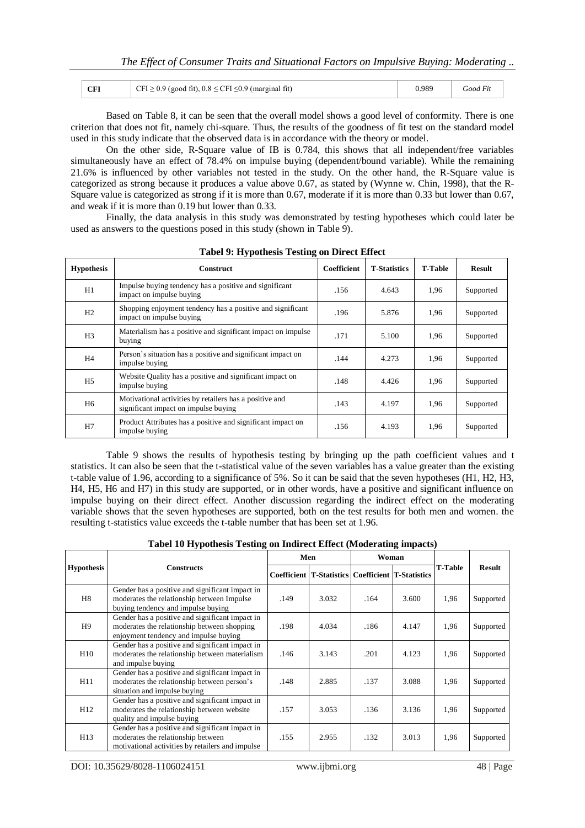|  | $\alpha$ $\mathbf{r}$<br>UF 1 | ≥ 0.9 (good fit), $0.8 \leq$ CFI $\leq$ 0.9 (marginal fit) | <b>J.989</b> | rooa |
|--|-------------------------------|------------------------------------------------------------|--------------|------|
|--|-------------------------------|------------------------------------------------------------|--------------|------|

Based on Table 8, it can be seen that the overall model shows a good level of conformity. There is one criterion that does not fit, namely chi-square. Thus, the results of the goodness of fit test on the standard model used in this study indicate that the observed data is in accordance with the theory or model.

On the other side, R-Square value of IB is 0.784, this shows that all independent/free variables simultaneously have an effect of 78.4% on impulse buying (dependent/bound variable). While the remaining 21.6% is influenced by other variables not tested in the study. On the other hand, the R-Square value is categorized as strong because it produces a value above 0.67, as stated by (Wynne w. Chin, 1998), that the R-Square value is categorized as strong if it is more than 0.67, moderate if it is more than 0.33 but lower than 0.67, and weak if it is more than 0.19 but lower than 0.33.

Finally, the data analysis in this study was demonstrated by testing hypotheses which could later be used as answers to the questions posed in this study (shown in Table 9).

| <b>Hypothesis</b> | $\frac{1}{2}$ . $\frac{1}{2}$ points to be extrapted by $\frac{1}{2}$<br><b>Construct</b>       | <b>Coefficient</b> | <b>T-Statistics</b> | <b>T-Table</b> | <b>Result</b> |
|-------------------|-------------------------------------------------------------------------------------------------|--------------------|---------------------|----------------|---------------|
| H1                | Impulse buying tendency has a positive and significant<br>impact on impulse buying              | .156               | 4.643               | 1,96           | Supported     |
| H2                | Shopping enjoyment tendency has a positive and significant<br>impact on impulse buying          | .196               | 5.876               | 1,96           | Supported     |
| H3                | Materialism has a positive and significant impact on impulse<br>buying                          |                    | 5.100               | 1,96           | Supported     |
| H4                | Person's situation has a positive and significant impact on<br>impulse buying                   | .144               | 4.273               | 1,96           | Supported     |
| H5                | Website Quality has a positive and significant impact on<br>impulse buying                      | .148               | 4.426               | 1,96           | Supported     |
| H6                | Motivational activities by retailers has a positive and<br>significant impact on impulse buying | .143               | 4.197               | 1,96           | Supported     |
| H7                | Product Attributes has a positive and significant impact on<br>impulse buying                   | .156               | 4.193               | 1,96           | Supported     |

**Tabel 9: Hypothesis Testing on Direct Effect**

Table 9 shows the results of hypothesis testing by bringing up the path coefficient values and t statistics. It can also be seen that the t-statistical value of the seven variables has a value greater than the existing t-table value of 1.96, according to a significance of 5%. So it can be said that the seven hypotheses (H1, H2, H3, H4, H5, H6 and H7) in this study are supported, or in other words, have a positive and significant influence on impulse buying on their direct effect. Another discussion regarding the indirect effect on the moderating variable shows that the seven hypotheses are supported, both on the test results for both men and women. the resulting t-statistics value exceeds the t-table number that has been set at 1.96.

**Tabel 10 Hypothesis Testing on Indirect Effect (Moderating impacts)**

|                   |                                                                                                                                           | Men  |                                                          | Woman |       |         |               |
|-------------------|-------------------------------------------------------------------------------------------------------------------------------------------|------|----------------------------------------------------------|-------|-------|---------|---------------|
| <b>Hypothesis</b> | <b>Constructs</b>                                                                                                                         |      | <b>Coefficient T-Statistics Coefficient T-Statistics</b> |       |       | T-Table | <b>Result</b> |
| H8                | Gender has a positive and significant impact in<br>moderates the relationship between Impulse<br>buying tendency and impulse buying       | .149 | 3.032                                                    | .164  | 3.600 | 1,96    | Supported     |
| H9                | Gender has a positive and significant impact in<br>moderates the relationship between shopping<br>enjoyment tendency and impulse buying   | .198 | 4.034                                                    | .186  | 4.147 | 1,96    | Supported     |
| H <sub>10</sub>   | Gender has a positive and significant impact in<br>moderates the relationship between materialism<br>and impulse buying                   | .146 | 3.143                                                    | .201  | 4.123 | 1,96    | Supported     |
| H11               | Gender has a positive and significant impact in<br>moderates the relationship between person's<br>situation and impulse buying            | .148 | 2.885                                                    | .137  | 3.088 | 1,96    | Supported     |
| H <sub>12</sub>   | Gender has a positive and significant impact in<br>moderates the relationship between website<br>quality and impulse buying               | .157 | 3.053                                                    | .136  | 3.136 | 1,96    | Supported     |
| H13               | Gender has a positive and significant impact in<br>moderates the relationship between<br>motivational activities by retailers and impulse | .155 | 2.955                                                    | .132  | 3.013 | 1,96    | Supported     |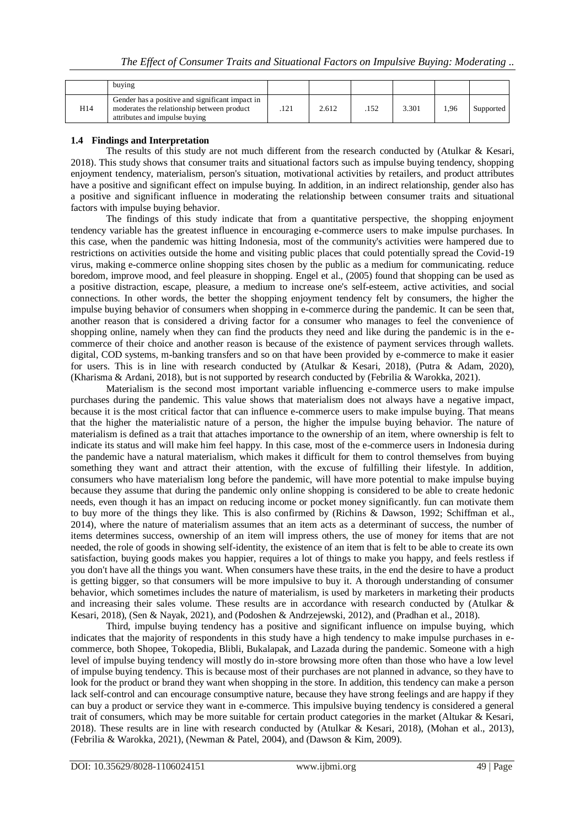|     | buying                                                                                                                         |      |       |      |       |      |           |
|-----|--------------------------------------------------------------------------------------------------------------------------------|------|-------|------|-------|------|-----------|
| H14 | Gender has a positive and significant impact in<br>moderates the relationship between product<br>attributes and impulse buving | .121 | 2.612 | .152 | 3.301 | 1.96 | Supported |

## **1.4 Findings and Interpretation**

The results of this study are not much different from the research conducted by (Atulkar & Kesari, 2018). This study shows that consumer traits and situational factors such as impulse buying tendency, shopping enjoyment tendency, materialism, person's situation, motivational activities by retailers, and product attributes have a positive and significant effect on impulse buying. In addition, in an indirect relationship, gender also has a positive and significant influence in moderating the relationship between consumer traits and situational factors with impulse buying behavior.

The findings of this study indicate that from a quantitative perspective, the shopping enjoyment tendency variable has the greatest influence in encouraging e-commerce users to make impulse purchases. In this case, when the pandemic was hitting Indonesia, most of the community's activities were hampered due to restrictions on activities outside the home and visiting public places that could potentially spread the Covid-19 virus, making e-commerce online shopping sites chosen by the public as a medium for communicating. reduce boredom, improve mood, and feel pleasure in shopping. Engel et al., (2005) found that shopping can be used as a positive distraction, escape, pleasure, a medium to increase one's self-esteem, active activities, and social connections. In other words, the better the shopping enjoyment tendency felt by consumers, the higher the impulse buying behavior of consumers when shopping in e-commerce during the pandemic. It can be seen that, another reason that is considered a driving factor for a consumer who manages to feel the convenience of shopping online, namely when they can find the products they need and like during the pandemic is in the ecommerce of their choice and another reason is because of the existence of payment services through wallets. digital, COD systems, m-banking transfers and so on that have been provided by e-commerce to make it easier for users. This is in line with research conducted by (Atulkar & Kesari, 2018), (Putra & Adam, 2020), (Kharisma & Ardani, 2018), but is not supported by research conducted by (Febrilia & Warokka, 2021).

Materialism is the second most important variable influencing e-commerce users to make impulse purchases during the pandemic. This value shows that materialism does not always have a negative impact, because it is the most critical factor that can influence e-commerce users to make impulse buying. That means that the higher the materialistic nature of a person, the higher the impulse buying behavior. The nature of materialism is defined as a trait that attaches importance to the ownership of an item, where ownership is felt to indicate its status and will make him feel happy. In this case, most of the e-commerce users in Indonesia during the pandemic have a natural materialism, which makes it difficult for them to control themselves from buying something they want and attract their attention, with the excuse of fulfilling their lifestyle. In addition, consumers who have materialism long before the pandemic, will have more potential to make impulse buying because they assume that during the pandemic only online shopping is considered to be able to create hedonic needs, even though it has an impact on reducing income or pocket money significantly. fun can motivate them to buy more of the things they like. This is also confirmed by (Richins & Dawson, 1992; Schiffman et al., 2014), where the nature of materialism assumes that an item acts as a determinant of success, the number of items determines success, ownership of an item will impress others, the use of money for items that are not needed, the role of goods in showing self-identity, the existence of an item that is felt to be able to create its own satisfaction, buying goods makes you happier, requires a lot of things to make you happy, and feels restless if you don't have all the things you want. When consumers have these traits, in the end the desire to have a product is getting bigger, so that consumers will be more impulsive to buy it. A thorough understanding of consumer behavior, which sometimes includes the nature of materialism, is used by marketers in marketing their products and increasing their sales volume. These results are in accordance with research conducted by (Atulkar & Kesari, 2018), (Sen & Nayak, 2021), and (Podoshen & Andrzejewski, 2012), and (Pradhan et al., 2018).

Third, impulse buying tendency has a positive and significant influence on impulse buying, which indicates that the majority of respondents in this study have a high tendency to make impulse purchases in ecommerce, both Shopee, Tokopedia, Blibli, Bukalapak, and Lazada during the pandemic. Someone with a high level of impulse buying tendency will mostly do in-store browsing more often than those who have a low level of impulse buying tendency. This is because most of their purchases are not planned in advance, so they have to look for the product or brand they want when shopping in the store. In addition, this tendency can make a person lack self-control and can encourage consumptive nature, because they have strong feelings and are happy if they can buy a product or service they want in e-commerce. This impulsive buying tendency is considered a general trait of consumers, which may be more suitable for certain product categories in the market (Altukar & Kesari, 2018). These results are in line with research conducted by (Atulkar & Kesari, 2018), (Mohan et al., 2013), (Febrilia & Warokka, 2021), (Newman & Patel, 2004), and (Dawson & Kim, 2009).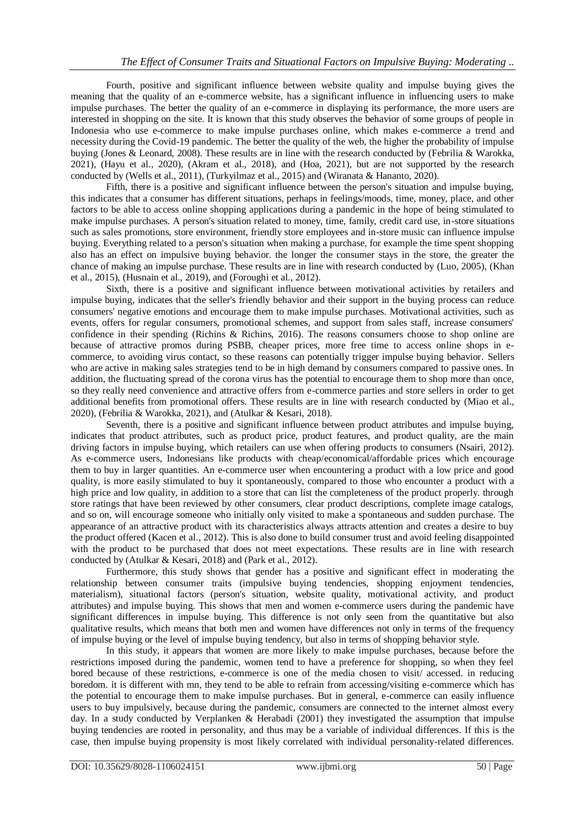Fourth, positive and significant influence between website quality and impulse buying gives the meaning that the quality of an e-commerce website, has a significant influence in influencing users to make impulse purchases. The better the quality of an e-commerce in displaying its performance, the more users are interested in shopping on the site. It is known that this study observes the behavior of some groups of people in Indonesia who use e-commerce to make impulse purchases online, which makes e-commerce a trend and necessity during the Covid-19 pandemic. The better the quality of the web, the higher the probability of impulse buying (Jones & Leonard, 2008). These results are in line with the research conducted by (Febrilia & Warokka, 2021), (Hayu et al., 2020), (Akram et al., 2018), and (Hoa, 2021), but are not supported by the research conducted by (Wells et al., 2011), (Turkyilmaz et al., 2015) and (Wiranata & Hananto, 2020).

Fifth, there is a positive and significant influence between the person's situation and impulse buying, this indicates that a consumer has different situations, perhaps in feelings/moods, time, money, place, and other factors to be able to access online shopping applications during a pandemic in the hope of being stimulated to make impulse purchases. A person's situation related to money, time, family, credit card use, in-store situations such as sales promotions, store environment, friendly store employees and in-store music can influence impulse buying. Everything related to a person's situation when making a purchase, for example the time spent shopping also has an effect on impulsive buying behavior. the longer the consumer stays in the store, the greater the chance of making an impulse purchase. These results are in line with research conducted by (Luo, 2005), (Khan et al., 2015), (Husnain et al., 2019), and (Foroughi et al., 2012).

Sixth, there is a positive and significant influence between motivational activities by retailers and impulse buying, indicates that the seller's friendly behavior and their support in the buying process can reduce consumers' negative emotions and encourage them to make impulse purchases. Motivational activities, such as events, offers for regular consumers, promotional schemes, and support from sales staff, increase consumers' confidence in their spending (Richins & Richins, 2016). The reasons consumers choose to shop online are because of attractive promos during PSBB, cheaper prices, more free time to access online shops in ecommerce, to avoiding virus contact, so these reasons can potentially trigger impulse buying behavior. Sellers who are active in making sales strategies tend to be in high demand by consumers compared to passive ones. In addition, the fluctuating spread of the corona virus has the potential to encourage them to shop more than once, so they really need convenience and attractive offers from e-commerce parties and store sellers in order to get additional benefits from promotional offers. These results are in line with research conducted by (Miao et al., 2020), (Febrilia & Warokka, 2021), and (Atulkar & Kesari, 2018).

Seventh, there is a positive and significant influence between product attributes and impulse buying, indicates that product attributes, such as product price, product features, and product quality, are the main driving factors in impulse buying, which retailers can use when offering products to consumers (Nsairi, 2012). As e-commerce users, Indonesians like products with cheap/economical/affordable prices which encourage them to buy in larger quantities. An e-commerce user when encountering a product with a low price and good quality, is more easily stimulated to buy it spontaneously, compared to those who encounter a product with a high price and low quality, in addition to a store that can list the completeness of the product properly. through store ratings that have been reviewed by other consumers, clear product descriptions, complete image catalogs, and so on, will encourage someone who initially only visited to make a spontaneous and sudden purchase. The appearance of an attractive product with its characteristics always attracts attention and creates a desire to buy the product offered (Kacen et al., 2012). This is also done to build consumer trust and avoid feeling disappointed with the product to be purchased that does not meet expectations. These results are in line with research conducted by (Atulkar & Kesari, 2018) and (Park et al., 2012).

Furthermore, this study shows that gender has a positive and significant effect in moderating the relationship between consumer traits (impulsive buying tendencies, shopping enjoyment tendencies, materialism), situational factors (person's situation, website quality, motivational activity, and product attributes) and impulse buying. This shows that men and women e-commerce users during the pandemic have significant differences in impulse buying. This difference is not only seen from the quantitative but also qualitative results, which means that both men and women have differences not only in terms of the frequency of impulse buying or the level of impulse buying tendency, but also in terms of shopping behavior style.

In this study, it appears that women are more likely to make impulse purchases, because before the restrictions imposed during the pandemic, women tend to have a preference for shopping, so when they feel bored because of these restrictions, e-commerce is one of the media chosen to visit/ accessed. in reducing boredom. it is different with mn, they tend to be able to refrain from accessing/visiting e-commerce which has the potential to encourage them to make impulse purchases. But in general, e-commerce can easily influence users to buy impulsively, because during the pandemic, consumers are connected to the internet almost every day. In a study conducted by Verplanken & Herabadi (2001) they investigated the assumption that impulse buying tendencies are rooted in personality, and thus may be a variable of individual differences. If this is the case, then impulse buying propensity is most likely correlated with individual personality-related differences.